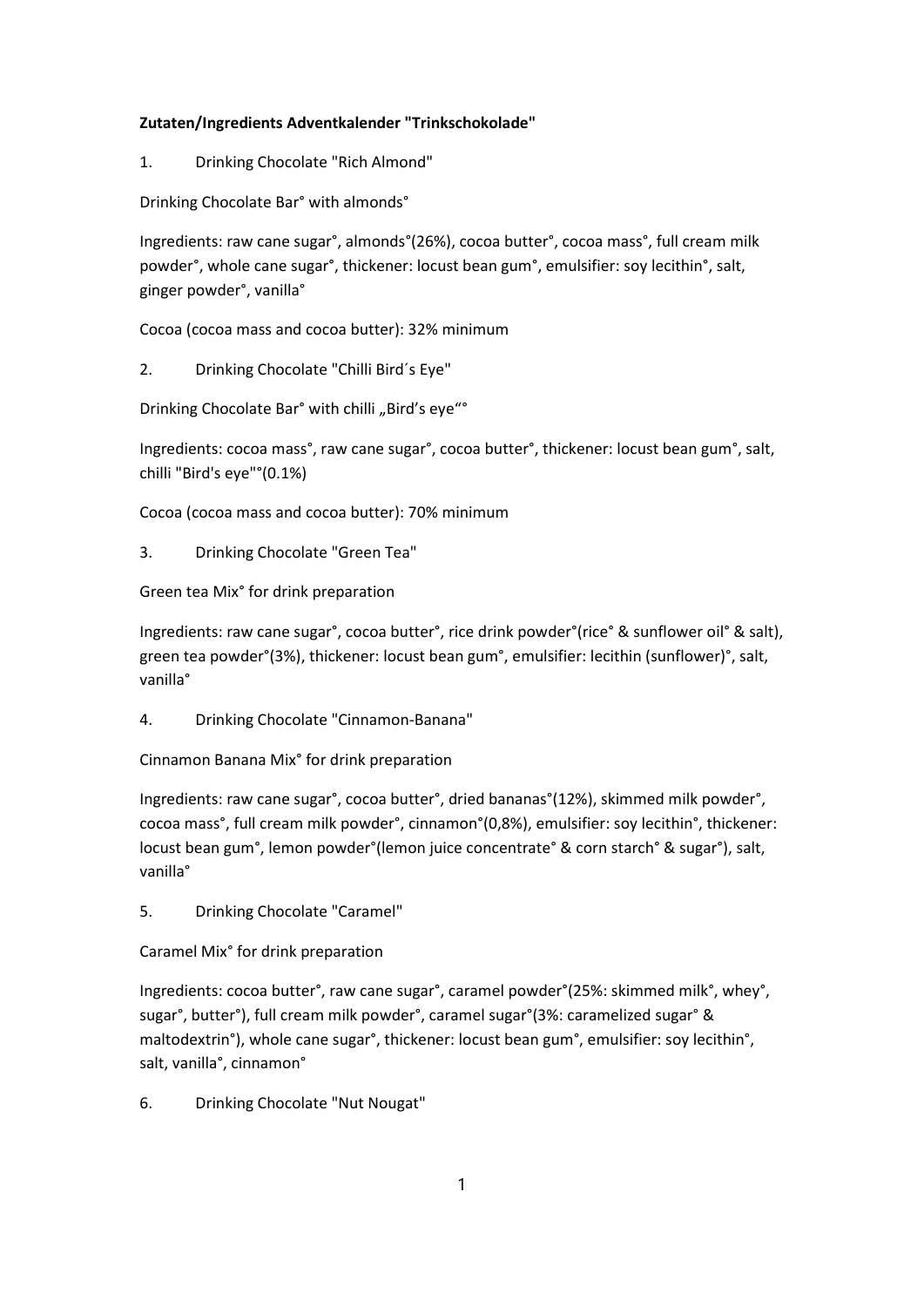## Zutaten/Ingredients Adventkalender "Trinkschokolade"

1. Drinking Chocolate "Rich Almond"

Drinking Chocolate Bar° with almonds°

Ingredients: raw cane sugar°, almonds°(26%), cocoa butter°, cocoa mass°, full cream milk powder°, whole cane sugar°, thickener: locust bean gum°, emulsifier: soy lecithin°, salt, ginger powder°, vanilla°

Cocoa (cocoa mass and cocoa butter): 32% minimum

2. Drinking Chocolate "Chilli Bird´s Eye"

Drinking Chocolate Bar° with chilli "Bird's eye"°

Ingredients: cocoa mass°, raw cane sugar°, cocoa butter°, thickener: locust bean gum°, salt, chilli "Bird's eye"°(0.1%)

Cocoa (cocoa mass and cocoa butter): 70% minimum

3. Drinking Chocolate "Green Tea"

Green tea Mix° for drink preparation

Ingredients: raw cane sugar°, cocoa butter°, rice drink powder°(rice° & sunflower oil° & salt), green tea powder°(3%), thickener: locust bean gum°, emulsifier: lecithin (sunflower)°, salt, vanilla°

4. Drinking Chocolate "Cinnamon-Banana"

Cinnamon Banana Mix° for drink preparation

Ingredients: raw cane sugar°, cocoa butter°, dried bananas°(12%), skimmed milk powder°, cocoa mass°, full cream milk powder°, cinnamon°(0,8%), emulsifier: soy lecithin°, thickener: locust bean gum°, lemon powder°(lemon juice concentrate° & corn starch° & sugar°), salt, vanilla°

5. Drinking Chocolate "Caramel"

Caramel Mix° for drink preparation

Ingredients: cocoa butter°, raw cane sugar°, caramel powder°(25%: skimmed milk°, whey°, sugar°, butter°), full cream milk powder°, caramel sugar°(3%: caramelized sugar° & maltodextrin°), whole cane sugar°, thickener: locust bean gum°, emulsifier: soy lecithin°, salt, vanilla°, cinnamon°

6. Drinking Chocolate "Nut Nougat"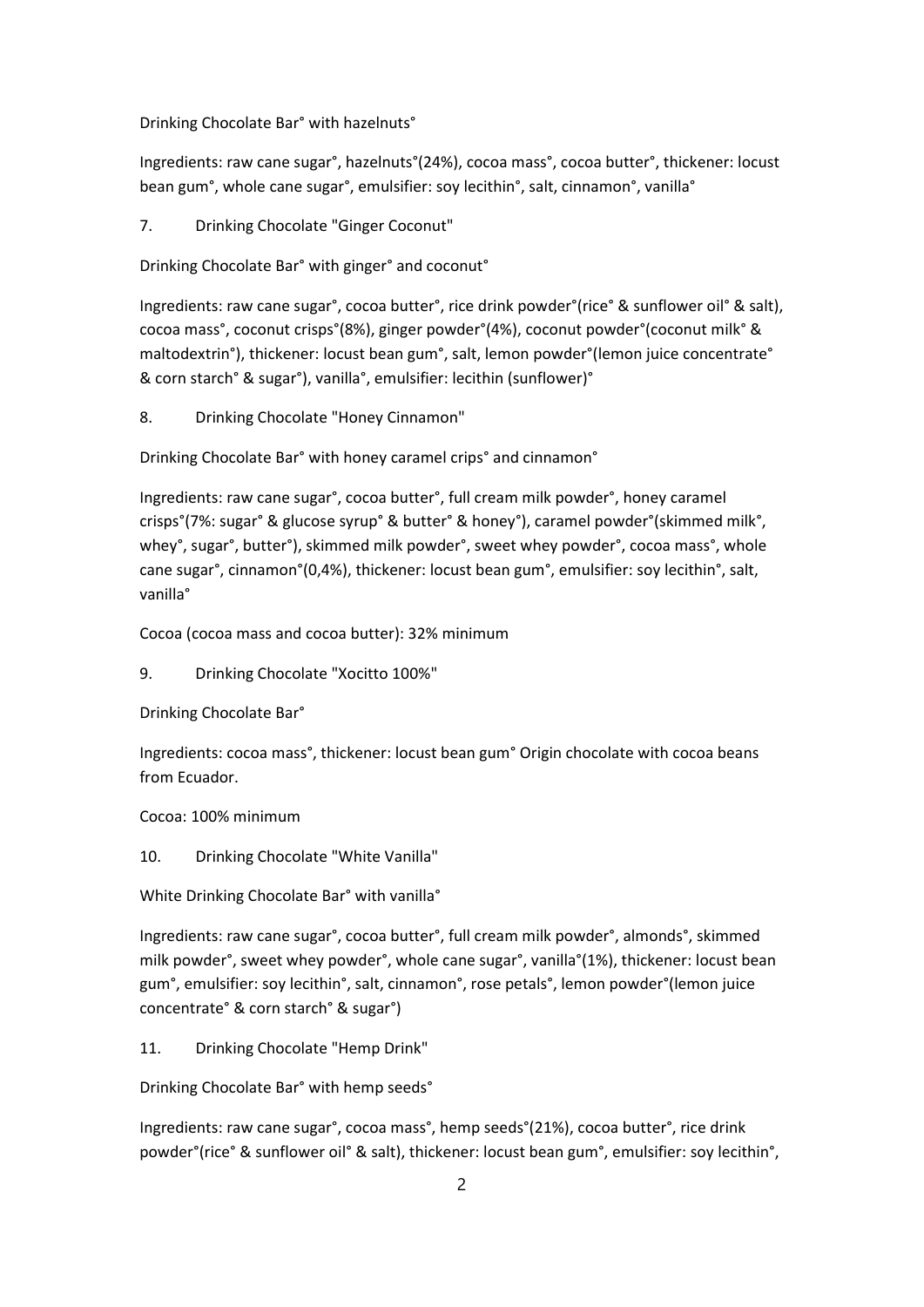Drinking Chocolate Bar° with hazelnuts°

Ingredients: raw cane sugar°, hazelnuts°(24%), cocoa mass°, cocoa butter°, thickener: locust bean gum°, whole cane sugar°, emulsifier: soy lecithin°, salt, cinnamon°, vanilla°

7. Drinking Chocolate "Ginger Coconut"

Drinking Chocolate Bar° with ginger° and coconut°

Ingredients: raw cane sugar°, cocoa butter°, rice drink powder°(rice° & sunflower oil° & salt), cocoa mass°, coconut crisps°(8%), ginger powder°(4%), coconut powder°(coconut milk° & maltodextrin°), thickener: locust bean gum°, salt, lemon powder°(lemon juice concentrate° & corn starch° & sugar°), vanilla°, emulsifier: lecithin (sunflower)°

8. Drinking Chocolate "Honey Cinnamon"

Drinking Chocolate Bar° with honey caramel crips° and cinnamon°

Ingredients: raw cane sugar°, cocoa butter°, full cream milk powder°, honey caramel crisps°(7%: sugar° & glucose syrup° & butter° & honey°), caramel powder°(skimmed milk°, whey°, sugar°, butter°), skimmed milk powder°, sweet whey powder°, cocoa mass°, whole cane sugar°, cinnamon°(0,4%), thickener: locust bean gum°, emulsifier: soy lecithin°, salt, vanilla°

Cocoa (cocoa mass and cocoa butter): 32% minimum

9. Drinking Chocolate "Xocitto 100%"

Drinking Chocolate Bar°

Ingredients: cocoa mass°, thickener: locust bean gum° Origin chocolate with cocoa beans from Ecuador.

Cocoa: 100% minimum

10. Drinking Chocolate "White Vanilla"

White Drinking Chocolate Bar° with vanilla°

Ingredients: raw cane sugar°, cocoa butter°, full cream milk powder°, almonds°, skimmed milk powder°, sweet whey powder°, whole cane sugar°, vanilla°(1%), thickener: locust bean gum°, emulsifier: soy lecithin°, salt, cinnamon°, rose petals°, lemon powder°(lemon juice concentrate° & corn starch° & sugar°)

11. Drinking Chocolate "Hemp Drink"

Drinking Chocolate Bar° with hemp seeds°

Ingredients: raw cane sugar°, cocoa mass°, hemp seeds°(21%), cocoa butter°, rice drink powder°(rice° & sunflower oil° & salt), thickener: locust bean gum°, emulsifier: soy lecithin°,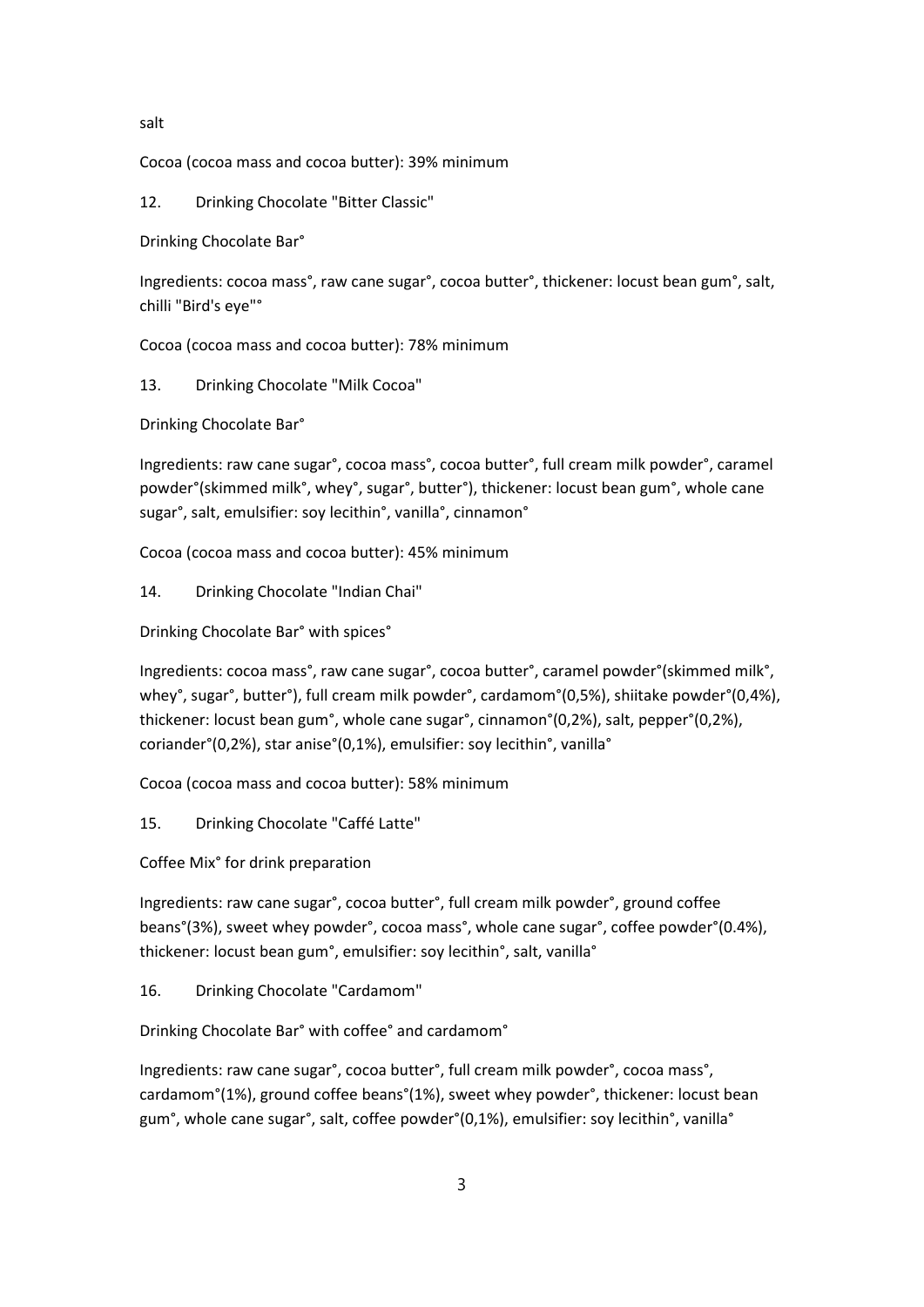## salt

Cocoa (cocoa mass and cocoa butter): 39% minimum

12. Drinking Chocolate "Bitter Classic"

Drinking Chocolate Bar°

Ingredients: cocoa mass°, raw cane sugar°, cocoa butter°, thickener: locust bean gum°, salt, chilli "Bird's eye"°

Cocoa (cocoa mass and cocoa butter): 78% minimum

13. Drinking Chocolate "Milk Cocoa"

Drinking Chocolate Bar°

Ingredients: raw cane sugar°, cocoa mass°, cocoa butter°, full cream milk powder°, caramel powder°(skimmed milk°, whey°, sugar°, butter°), thickener: locust bean gum°, whole cane sugar°, salt, emulsifier: soy lecithin°, vanilla°, cinnamon°

Cocoa (cocoa mass and cocoa butter): 45% minimum

14. Drinking Chocolate "Indian Chai"

Drinking Chocolate Bar° with spices°

Ingredients: cocoa mass°, raw cane sugar°, cocoa butter°, caramel powder°(skimmed milk°, whey°, sugar°, butter°), full cream milk powder°, cardamom°(0,5%), shiitake powder°(0,4%), thickener: locust bean gum°, whole cane sugar°, cinnamon°(0,2%), salt, pepper°(0,2%), coriander°(0,2%), star anise°(0,1%), emulsifier: soy lecithin°, vanilla°

Cocoa (cocoa mass and cocoa butter): 58% minimum

15. Drinking Chocolate "Caffé Latte"

Coffee Mix° for drink preparation

Ingredients: raw cane sugar°, cocoa butter°, full cream milk powder°, ground coffee beans°(3%), sweet whey powder°, cocoa mass°, whole cane sugar°, coffee powder°(0.4%), thickener: locust bean gum°, emulsifier: soy lecithin°, salt, vanilla°

16. Drinking Chocolate "Cardamom"

Drinking Chocolate Bar° with coffee° and cardamom°

Ingredients: raw cane sugar°, cocoa butter°, full cream milk powder°, cocoa mass°, cardamom°(1%), ground coffee beans°(1%), sweet whey powder°, thickener: locust bean gum°, whole cane sugar°, salt, coffee powder°(0,1%), emulsifier: soy lecithin°, vanilla°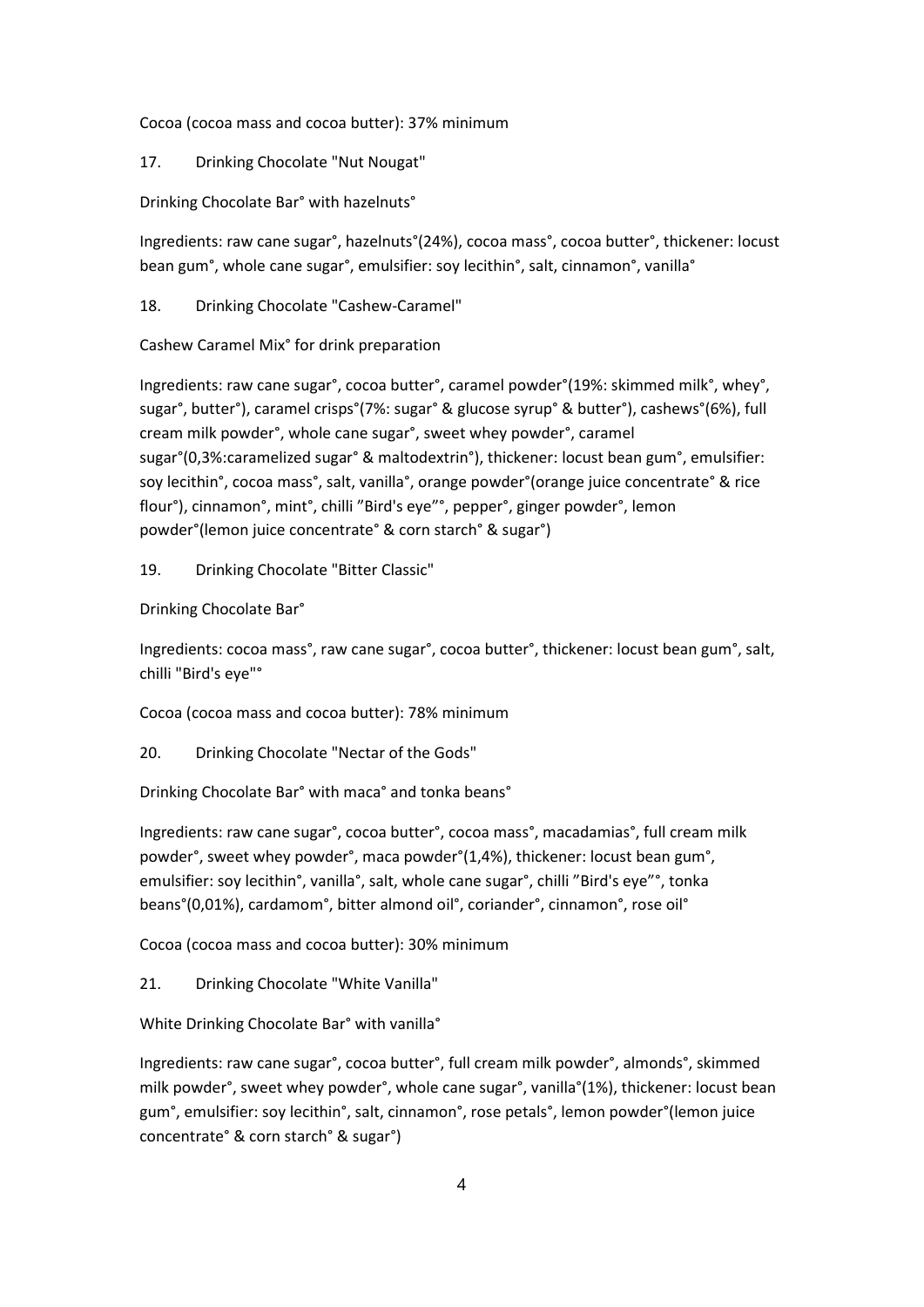Cocoa (cocoa mass and cocoa butter): 37% minimum

17. Drinking Chocolate "Nut Nougat"

Drinking Chocolate Bar° with hazelnuts°

Ingredients: raw cane sugar°, hazelnuts°(24%), cocoa mass°, cocoa butter°, thickener: locust bean gum°, whole cane sugar°, emulsifier: soy lecithin°, salt, cinnamon°, vanilla°

18. Drinking Chocolate "Cashew-Caramel"

Cashew Caramel Mix° for drink preparation

Ingredients: raw cane sugar°, cocoa butter°, caramel powder°(19%: skimmed milk°, whey°, sugar°, butter°), caramel crisps°(7%: sugar° & glucose syrup° & butter°), cashews°(6%), full cream milk powder°, whole cane sugar°, sweet whey powder°, caramel sugar°(0,3%:caramelized sugar° & maltodextrin°), thickener: locust bean gum°, emulsifier: soy lecithin°, cocoa mass°, salt, vanilla°, orange powder°(orange juice concentrate° & rice flour°), cinnamon°, mint°, chilli "Bird's eye"°, pepper°, ginger powder°, lemon powder°(lemon juice concentrate° & corn starch° & sugar°)

19. Drinking Chocolate "Bitter Classic"

Drinking Chocolate Bar°

Ingredients: cocoa mass°, raw cane sugar°, cocoa butter°, thickener: locust bean gum°, salt, chilli "Bird's eye"°

Cocoa (cocoa mass and cocoa butter): 78% minimum

20. Drinking Chocolate "Nectar of the Gods"

Drinking Chocolate Bar° with maca° and tonka beans°

Ingredients: raw cane sugar°, cocoa butter°, cocoa mass°, macadamias°, full cream milk powder°, sweet whey powder°, maca powder°(1,4%), thickener: locust bean gum°, emulsifier: soy lecithin°, vanilla°, salt, whole cane sugar°, chilli "Bird's eye"°, tonka beans°(0,01%), cardamom°, bitter almond oil°, coriander°, cinnamon°, rose oil°

Cocoa (cocoa mass and cocoa butter): 30% minimum

21. Drinking Chocolate "White Vanilla"

White Drinking Chocolate Bar° with vanilla°

Ingredients: raw cane sugar°, cocoa butter°, full cream milk powder°, almonds°, skimmed milk powder°, sweet whey powder°, whole cane sugar°, vanilla°(1%), thickener: locust bean gum°, emulsifier: soy lecithin°, salt, cinnamon°, rose petals°, lemon powder°(lemon juice concentrate° & corn starch° & sugar°)